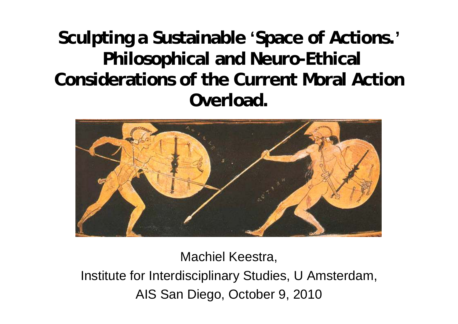**Sculpting a Sustainable 'Space of Actions.' Philosophical and Neuro-Ethical Considerations of the Current Moral Action Overload.**



Machiel Keestra, Institute for Interdisciplinary Studies, U Amsterdam, AIS San Diego, October 9, 2010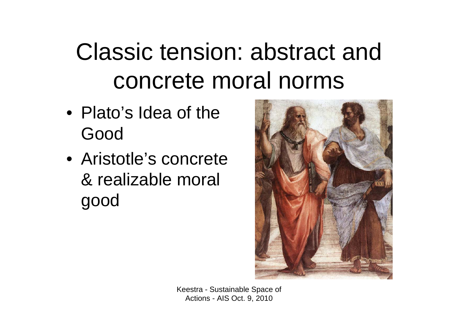### Classic tension: abstract and concrete moral norms

- Plato's Idea of the Good
- Aristotle's concrete & realizable moral good

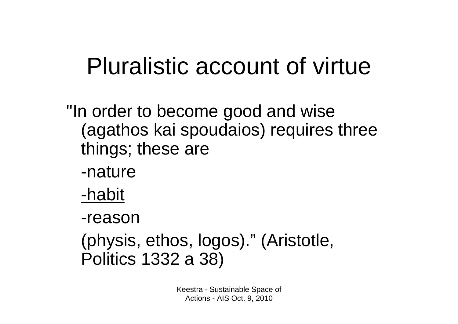### Pluralistic account of virtue

"In order to become good and wise (agathos kai spoudaios) requires three things; these are

- -nature
- -habit

-reason

(physis, ethos, logos)." (Aristotle, Politics 1332 a 38)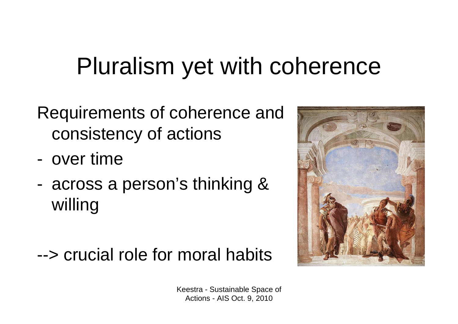### Pluralism yet with coherence

- Requirements of coherence and consistency of actions
- over time
- across a person's thinking & willing

### --> crucial role for moral habits

![](_page_3_Picture_5.jpeg)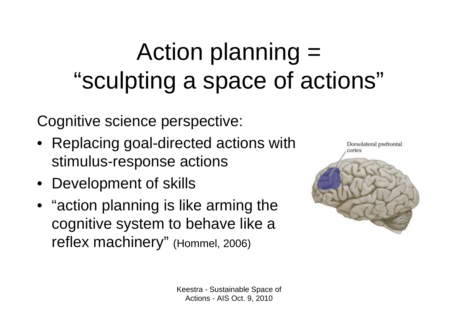# Action planning = "sculpting a space of actions"

Cognitive science perspective:

- Replacing goal-directed actions with stimulus-response actions
- Development of skills
- "action planning is like arming the cognitive system to behave like a reflex machinery" (Hommel, 2006)

![](_page_4_Picture_5.jpeg)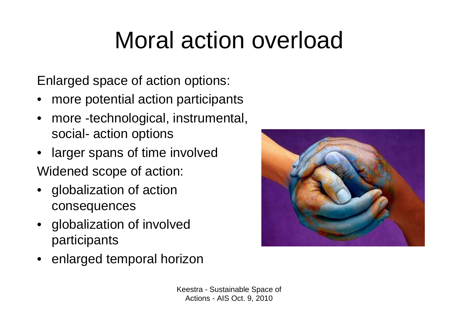### Moral action overload

Enlarged space of action options:

- more potential action participants
- more -technological, instrumental, social- action options
- larger spans of time involved
- Widened scope of action:
- globalization of action consequences
- globalization of involved participants
- enlarged temporal horizon

![](_page_5_Picture_9.jpeg)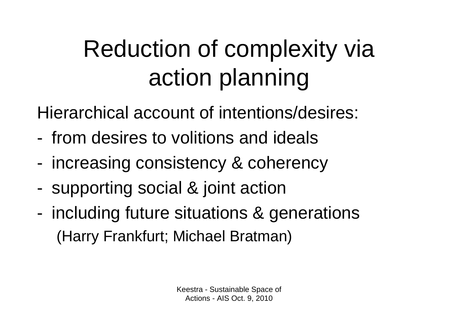# Reduction of complexity via action planning

- Hierarchical account of intentions/desires:
- from desires to volitions and ideals
- increasing consistency & coherency
- supporting social & joint action
- including future situations & generations (Harry Frankfurt; Michael Bratman)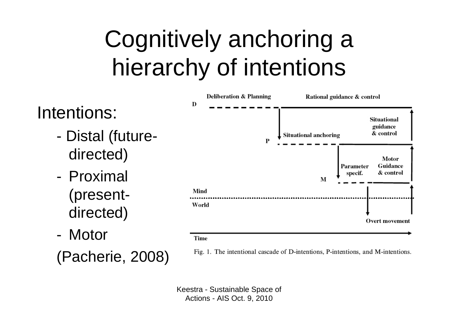### Cognitively anchoring a hierarchy of intentions

![](_page_7_Figure_1.jpeg)

#### Time

(Pacherie, 2008)

Fig. 1. The intentional cascade of D-intentions, P-intentions, and M-intentions.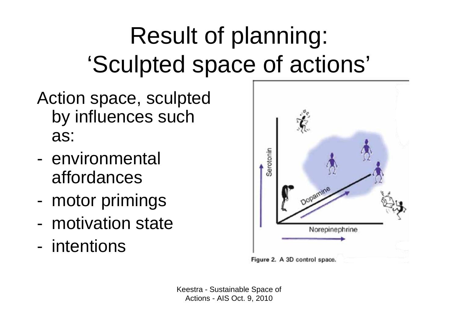# Result of planning: 'Sculpted space of actions'

- Action space, sculpted by influences such as:
- environmental affordances
- motor primings
- motivation state
- intentions

![](_page_8_Figure_6.jpeg)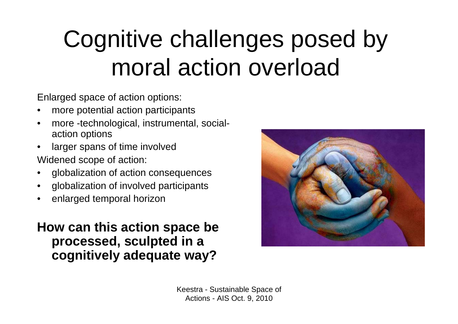### Cognitive challenges posed by moral action overload

- Enlarged space of action options:
- more potential action participants
- more -technological, instrumental, socialaction options
- larger spans of time involved
- Widened scope of action:
- globalization of action consequences
- globalization of involved participants
- enlarged temporal horizon

### **How can this action space be processed, sculpted in a cognitively adequate way?**

![](_page_9_Picture_10.jpeg)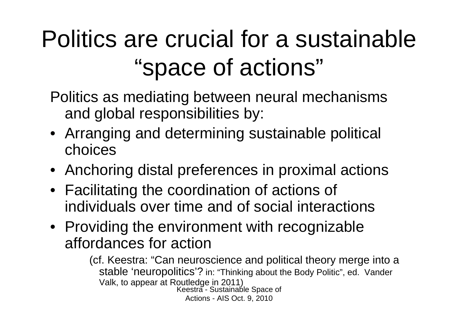### Politics are crucial for a sustainable "space of actions"

- Politics as mediating between neural mechanisms and global responsibilities by:
- Arranging and determining sustainable political choices
- Anchoring distal preferences in proximal actions
- Facilitating the coordination of actions of individuals over time and of social interactions
- Providing the environment with recognizable affordances for action

Keestra - Sustainable Space of Actions - AIS Oct. 9, 2010 (cf. Keestra: "Can neuroscience and political theory merge into a stable 'neuropolitics'? in: "Thinking about the Body Politic", ed. Vander Valk, to appear at Routledge in 2011)